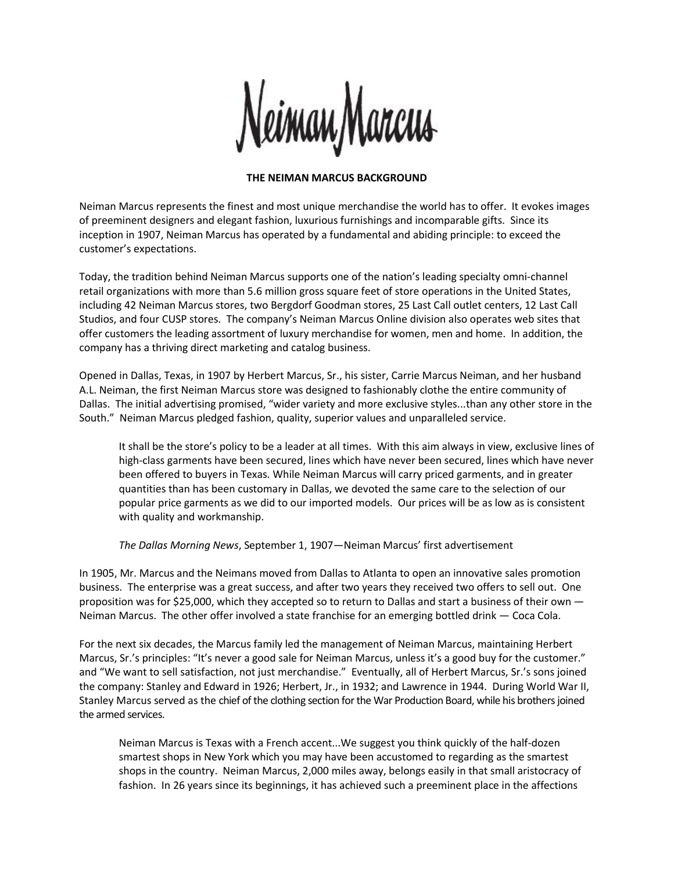

## **THE NEIMAN MARCUS BACKGROUND**

Neiman Marcus represents the finest and most unique merchandise the world has to offer. It evokes images of preeminent designers and elegant fashion, luxurious furnishings and incomparable gifts. Since its inception in 1907, Neiman Marcus has operated by a fundamental and abiding principle: to exceed the customer's expectations.

Today, the tradition behind Neiman Marcus supports one of the nation's leading specialty omni-channel retail organizations with more than 5.6 million gross square feet of store operations in the United States, including 42 Neiman Marcus stores, two Bergdorf Goodman stores, 25 Last Call outlet centers, 12 Last Call Studios, and four CUSP stores. The company's Neiman Marcus Online division also operates web sites that offer customers the leading assortment of luxury merchandise for women, men and home. In addition, the company has a thriving direct marketing and catalog business.

Opened in Dallas, Texas, in 1907 by Herbert Marcus, Sr., his sister, Carrie Marcus Neiman, and her husband A.L. Neiman, the first Neiman Marcus store was designed to fashionably clothe the entire community of Dallas. The initial advertising promised, "wider variety and more exclusive styles...than any other store in the South." Neiman Marcus pledged fashion, quality, superior values and unparalleled service.

It shall be the store's policy to be a leader at all times. With this aim always in view, exclusive lines of high-class garments have been secured, lines which have never been secured, lines which have never been offered to buyers in Texas. While Neiman Marcus will carry priced garments, and in greater quantities than has been customary in Dallas, we devoted the same care to the selection of our popular price garments as we did to our imported models. Our prices will be as low as is consistent with quality and workmanship.

*The Dallas Morning News*, September 1, 1907—Neiman Marcus' first advertisement

In 1905, Mr. Marcus and the Neimans moved from Dallas to Atlanta to open an innovative sales promotion business. The enterprise was a great success, and after two years they received two offers to sell out. One proposition was for \$25,000, which they accepted so to return to Dallas and start a business of their own — Neiman Marcus. The other offer involved a state franchise for an emerging bottled drink — Coca Cola.

For the next six decades, the Marcus family led the management of Neiman Marcus, maintaining Herbert Marcus, Sr.'s principles: "It's never a good sale for Neiman Marcus, unless it's a good buy for the customer." and "We want to sell satisfaction, not just merchandise." Eventually, all of Herbert Marcus, Sr.'s sons joined the company: Stanley and Edward in 1926; Herbert, Jr., in 1932; and Lawrence in 1944. During World War II, Stanley Marcus served as the chief of the clothing section for the War Production Board, while his brothers joined the armed services.

Neiman Marcus is Texas with a French accent...We suggest you think quickly of the half-dozen smartest shops in New York which you may have been accustomed to regarding as the smartest shops in the country. Neiman Marcus, 2,000 miles away, belongs easily in that small aristocracy of fashion. In 26 years since its beginnings, it has achieved such a preeminent place in the affections